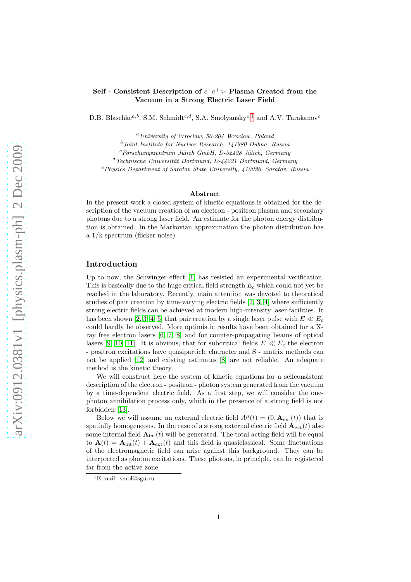## Self - Consistent Description of  $e^-e^+\gamma$ - Plasma Created from the Vacuum in a Strong Electric Laser Field

D.B. Blaschke<sup>a,b</sup>, S.M. Schmidt<sup>c,d</sup>, S.A. Smolyansky<sup>e,[1](#page-0-0)</sup> and A.V. Tarakanov<sup>e</sup>

 $a$  University of Wrocław, 50-204 Wrocław, Poland

 $^{b}$ Joint Institute for Nuclear Research, 141980 Dubna, Russia

 $c$ Forschungszentrum Jülich GmbH, D-52428 Jülich, Germany

 $d$ Technische Universität Dortmund, D-44221 Dortmund, Germany

 $e<sup>e</sup> Physics Department of Saratov State University, 410026, Saratov, Russia$ 

#### Abstract

In the present work a closed system of kinetic equations is obtained for the description of the vacuum creation of an electron - positron plasma and secondary photons due to a strong laser field. An estimate for the photon energy distribution is obtained. In the Markovian approximation the photon distribution has a 1/k spectrum (flicker noise).

## Introduction

Up to now, the Schwinger effect [\[1\]](#page-5-0) has resisted an experimental verification. This is basically due to the huge critical field strength  $E_c$  which could not yet be reached in the laboratory. Recently, main attention was devoted to theoretical studies of pair creation by time-varying electric fields  $[2, 3, 4]$  $[2, 3, 4]$  $[2, 3, 4]$  where sufficiently strong electric fields can be achieved at modern high-intensity laser facilities. It has been shown [\[2,](#page-5-1) [3,](#page-5-2) [4,](#page-5-3) [5\]](#page-5-4) that pair creation by a single laser pulse with  $E \ll E_c$ could hardly be observed. More optimistic results have been obtained for a Xray free electron lasers [\[6,](#page-5-5) [7,](#page-5-6) [8\]](#page-5-7) and for counter-propagating beams of optical lasers [\[9,](#page-5-8) [10,](#page-5-9) [11\]](#page-5-10). It is obvious, that for subcritical fields  $E \ll E_c$  the electron - positron excitations have quasiparticle character and S - matrix methods can not be applied [\[12\]](#page-5-11) and existing estimates [\[8\]](#page-5-7) are not reliable. An adequate method is the kinetic theory.

We will construct here the system of kinetic equations for a selfconsistent description of the electron - positron - photon system generated from the vacuum by a time-dependent electric field. As a first step, we will consider the onephoton annihilation process only, which in the presence of a strong field is not forbidden [\[13\]](#page-5-12).

Below we will assume an external electric field  $A^{\mu}(t) = (0, \mathbf{A}_{ext}(t))$  that is spatially homogeneous. In the case of a strong external electric field  $\mathbf{A}_{ext}(t)$  also some internal field  $A_{int}(t)$  will be generated. The total acting field will be equal to  $\mathbf{A}(t) = \mathbf{A}_{\text{int}}(t) + \mathbf{A}_{\text{ext}}(t)$  and this field is quasiclassical. Some fluctuations of the electromagnetic field can arise against this background. They can be interpreted as photon excitations. These photons, in principle, can be registered far from the active zone.

<span id="page-0-0"></span><sup>1</sup>E-mail: smol@sgu.ru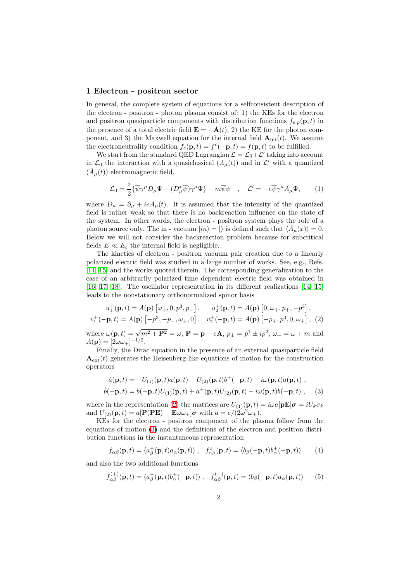#### 1 Electron - positron sector

In general, the complete system of equations for a selfconsistent description of the electron - positron - photon plasma consist of: 1) the KEs for the electron and positron quasiparticle components with distribution functions  $f_{e,p}(\mathbf{p}, t)$  in the presence of a total electric field  $\mathbf{E} = -\mathbf{A}(t), 2$  the KE for the photon component, and 3) the Maxwell equation for the internal field  $A_{int}(t)$ . We assume the electroneutrality condition  $f_e(\mathbf{p}, t) = f^c(-\mathbf{p}, t) = f(\mathbf{p}, t)$  to be fulfilled.

We start from the standard QED Lagrangian  $\mathcal{L} = \mathcal{L}_0 + \mathcal{L}'$  taking into account in  $\mathcal{L}_0$  the interaction with a quasiclassical  $(A_\mu(t))$  and in  $\mathcal{L}'$  with a quantized  $(\hat{A}_{\mu}(t))$  electromagnetic field,

$$
\mathcal{L}_0 = \frac{i}{2} \{ \overline{\psi} \gamma^\mu D_\mu \Psi - (D_\mu^* \overline{\psi}) \gamma^\mu \Psi \} - m \overline{\psi} \psi \quad , \quad \mathcal{L}' = -e \overline{\psi} \gamma^\mu \hat{A}_\mu \Psi, \tag{1}
$$

where  $D_{\mu} = \partial_{\mu} + ieA_{\mu}(t)$ . It is assumed that the intensity of the quantized field is rather weak so that there is no backreaction influence on the state of the system. In other words, the electron - positron system plays the role of a photon source only. The in - vacuum  $|in\rangle = |\rangle$  is defined such that  $\langle \hat{A}_{\mu}(x)\rangle = 0$ . Below we will not consider the backreaction problem because for subcritical fields  $E \ll E_c$  the internal field is negligible.

The kinetics of electron - positron vacuum pair creation due to a linearly polarized electric field was studied in a large number of works. See, e.g., Refs. [\[14,](#page-5-13) [15\]](#page-5-14) and the works quoted therein. The corresponding generalization to the case of an arbitrarily polarized time dependent electric field was obtained in [\[16,](#page-5-15) [17,](#page-5-16) [18\]](#page-5-17). The oscillator representation in its different realizations [\[14,](#page-5-13) [15\]](#page-5-14) leads to the nonstationary orthonormalized spinor basis

$$
u_1^+(\mathbf{p}, t) = A(\mathbf{p}) \left[ \omega_+, 0, p^3, p_- \right], \quad u_2^+(\mathbf{p}, t) = A(\mathbf{p}) \left[ 0, \omega_+, p_+, -p^3 \right],
$$
  

$$
v_1^+(-\mathbf{p}, t) = A(\mathbf{p}) \left[ -p^3, -p_-, \omega_+, 0 \right], \quad v_2^+(-\mathbf{p}, t) = A(\mathbf{p}) \left[ -p_+, p^3, 0, \omega_+ \right], \tag{2}
$$

where  $\omega(\mathbf{p}, t) = \sqrt{m^2 + \mathbf{P}^2} = \omega$ ,  $\mathbf{P} = \mathbf{p} - e\mathbf{A}$ ,  $p_{\pm} = p^1 \pm ip^2$ ,  $\omega_{+} = \omega + m$  and  $A(\mathbf{p}) = [2\omega\omega_+]^{-1/2}.$ 

Finally, the Dirac equation in the presence of an external quasiparticle field  ${\bf A}_{\rm ext}(t)$  generates the Heisenberg-like equations of motion for the construction operators

<span id="page-1-1"></span><span id="page-1-0"></span>
$$
\dot{a}(\mathbf{p},t) = -U_{(1)}(\mathbf{p},t)a(\mathbf{p},t) - U_{(2)}(\mathbf{p},t)b^{+}(-\mathbf{p},t) - i\omega(\mathbf{p},t)a(\mathbf{p},t) ,
$$
  
\n
$$
\dot{b}(-\mathbf{p},t) = b(-\mathbf{p},t)U_{(1)}(\mathbf{p},t) + a^{+}(\mathbf{p},t)U_{(2)}(\mathbf{p},t) - i\omega(\mathbf{p},t)b(-\mathbf{p},t) ,
$$
 (3)

where in the representation [\(2\)](#page-1-0) the matrices are  $U_{(1)}(\mathbf{p}, t) = i\omega a[\mathbf{p}\mathbf{E}]\boldsymbol{\sigma} = iU_k\sigma_k$ and  $U_{(2)}(\mathbf{p},t) = a[\mathbf{P}(P\mathbf{E}) - \mathbf{E}\omega\omega_+] \boldsymbol{\sigma}$  with  $a = e/(2\omega^2\omega_+).$ 

KEs for the electron - positron component of the plasma follow from the equations of motion [\(3\)](#page-1-1) and the definitions of the electron and positron distribution functions in the instantaneous representation

$$
f_{\alpha\beta}(\mathbf{p},t) = \langle a_{\beta}^{+}(\mathbf{p},t)a_{\alpha}(\mathbf{p},t) \rangle , \quad f_{\alpha\beta}^{c}(\mathbf{p},t) = \langle b_{\beta}(-\mathbf{p},t)b_{\alpha}^{+}(-\mathbf{p},t) \rangle \tag{4}
$$

and also the two additional functions

<span id="page-1-2"></span>
$$
f_{\alpha\beta}^{(+)}(\mathbf{p},t) = \langle a_{\beta}^{+}(\mathbf{p},t)b_{\alpha}^{+}(-\mathbf{p},t)\rangle, \quad f_{\alpha\beta}^{(-)}(\mathbf{p},t) = \langle b_{\beta}(-\mathbf{p},t)a_{\alpha}(\mathbf{p},t)\rangle \qquad (5)
$$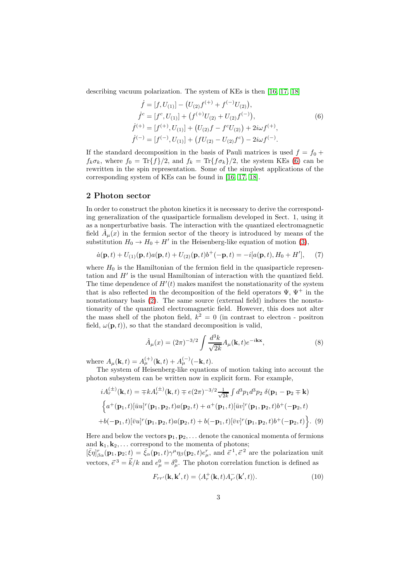describing vacuum polarization. The system of KEs is then [\[16,](#page-5-15) [17,](#page-5-16) [18\]](#page-5-17)

<span id="page-2-0"></span>
$$
\begin{aligned}\n\dot{f} &= [f, U_{(1)}] - (U_{(2)}f^{(+)} + f^{(-)}U_{(2)}), \\
\dot{f}^c &= [f^c, U_{(1)}] + (f^{(+)}U_{(2)} + U_{(2)}f^{(-)}), \\
\dot{f}^{(+)} &= [f^{(+)}, U_{(1)}] + (U_{(2)}f - f^cU_{(2)}) + 2i\omega f^{(+)}, \\
\dot{f}^{(-)} &= [f^{(-)}, U_{(1)}] + (fU_{(2)} - U_{(2)}f^c) - 2i\omega f^{(-)}.\n\end{aligned}
$$
\n(6)

If the standard decomposition in the basis of Pauli matrices is used  $f = f_0 +$  $f_k \sigma_k$ , where  $f_0 = \text{Tr}\{f\}/2$ , and  $f_k = \text{Tr}\{f \sigma_k\}/2$ , the system KEs [\(6\)](#page-2-0) can be rewritten in the spin representation. Some of the simplest applications of the corresponding system of KEs can be found in [\[16,](#page-5-15) [17,](#page-5-16) [18\]](#page-5-17).

## 2 Photon sector

In order to construct the photon kinetics it is necessary to derive the corresponding generalization of the quasiparticle formalism developed in Sect. 1, using it as a nonperturbative basis. The interaction with the quantized electromagnetic field  $\hat{A}_{\mu}(x)$  in the fermion sector of the theory is introduced by means of the substitution  $H_0 \to H_0 + H'$  in the Heisenberg-like equation of motion [\(3\)](#page-1-1),

$$
\dot{a}(\mathbf{p},t) + U_{(1)}(\mathbf{p},t)a(\mathbf{p},t) + U_{(2)}(\mathbf{p},t)b^{+}(-\mathbf{p},t) = -i[a(\mathbf{p},t),H_0 + H'], \quad (7)
$$

where  $H_0$  is the Hamiltonian of the fermion field in the quasiparticle representation and H′ is the usual Hamiltonian of interaction with the quantized field. The time dependence of  $H'(t)$  makes manifest the nonstationarity of the system that is also reflected in the decomposition of the field operators  $\Psi, \Psi^+$  in the nonstationary basis [\(2\)](#page-1-0). The same source (external field) induces the nonstationarity of the quantized electromagnetic field. However, this does not alter the mass shell of the photon field,  $k^2 = 0$  (in contrast to electron - positron field,  $\omega(\mathbf{p}, t)$ , so that the standard decomposition is valid,

$$
\hat{A}_{\mu}(x) = (2\pi)^{-3/2} \int \frac{d^3k}{\sqrt{2k}} A_{\mu}(\mathbf{k}, t) e^{-i\mathbf{k}\mathbf{x}},\tag{8}
$$

where  $A_{\mu}(\mathbf{k}, t) = A_{\mu}^{(+)}(\mathbf{k}, t) + A_{\mu}^{(-)}(-\mathbf{k}, t).$ 

The system of Heisenberg-like equations of motion taking into account the photon subsystem can be written now in explicit form. For example,

<span id="page-2-1"></span>
$$
iA_r^{(\pm)}(\mathbf{k},t) = \mp k A_r^{(\pm)}(\mathbf{k},t) \mp e(2\pi)^{-3/2} \frac{1}{\sqrt{2k}} \int d^3 p_1 d^3 p_2 \ \delta(\mathbf{p}_1 - \mathbf{p}_2 \mp \mathbf{k})
$$
  

$$
\left\{ a^+(\mathbf{p}_1,t) [\bar{u}u]^r(\mathbf{p}_1, \mathbf{p}_2,t) a(\mathbf{p}_2,t) + a^+(\mathbf{p}_1,t) [\bar{u}v]^r(\mathbf{p}_1, \mathbf{p}_2,t) b^+(-\mathbf{p}_2,t) \right.
$$

$$
+ b(-\mathbf{p}_1,t) [\bar{v}u]^r(\mathbf{p}_1, \mathbf{p}_2,t) a(\mathbf{p}_2,t) + b(-\mathbf{p}_1,t) [\bar{v}v]^r(\mathbf{p}_1, \mathbf{p}_2,t) b^+(-\mathbf{p}_2,t) \right\}. (9)
$$

Here and below the vectors  $\mathbf{p}_1, \mathbf{p}_2, \ldots$  denote the canonical momenta of fermions and  $\mathbf{k}_1, \mathbf{k}_2, \ldots$  correspond to the momenta of photons;

 $\bar{\xi}$ η $\bar{\eta}_{\beta\alpha}^r(\mathbf{p}_1, \mathbf{p}_2; t) = \bar{\xi}_{\alpha}^r(\mathbf{p}_1, t) \gamma^{\mu} \eta_{\beta}^r(\mathbf{p}_2, t) e_{\mu}^r$ , and  $\bar{\epsilon}^1, \bar{\epsilon}^2$  are the polarization unit vectors,  $\vec{e}^3 = \vec{k}/k$  and  $e^0_\mu = \delta^0_\mu$ . The photon correlation function is defined as

$$
F_{rr'}(\mathbf{k}, \mathbf{k}', t) = \langle A_r^+(\mathbf{k}, t) A_{r'}^-(\mathbf{k}', t) \rangle.
$$
 (10)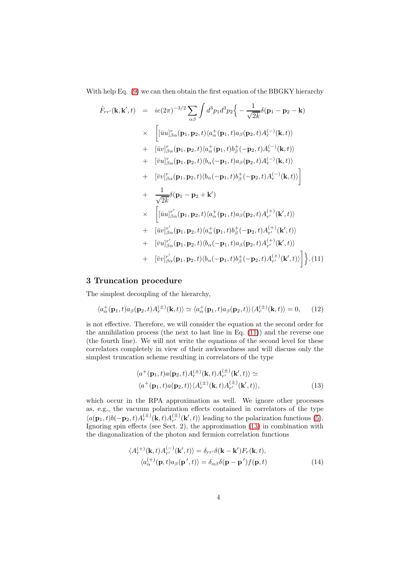With help Eq. [\(9\)](#page-2-1) we can then obtain the first equation of the BBGKY hierarchy

<span id="page-3-0"></span>
$$
\dot{F}_{rr'}(\mathbf{k}, \mathbf{k}', t) = ie(2\pi)^{-3/2} \sum_{\alpha\beta} \int d^3p_1 d^3p_2 \Big\{ - \frac{1}{\sqrt{2k}} \delta(\mathbf{p}_1 - \mathbf{p}_2 - \mathbf{k})
$$
\n
$$
\times \left[ [\bar{u}u]_{\beta\alpha}^r(\mathbf{p}_1, \mathbf{p}_2, t) \langle a_\alpha^+(\mathbf{p}_1, t) a_\beta(\mathbf{p}_2, t) A_r^{(-)}(\mathbf{k}, t) \rangle \right. \\
\left. + [\bar{u}v]_{\beta\alpha}^r(\mathbf{p}_1, \mathbf{p}_2, t) \langle a_\alpha^+(\mathbf{p}_1, t) b_\beta^+(-\mathbf{p}_2, t) A_r^{(-)}(\mathbf{k}, t) \rangle \right. \\
\left. + [\bar{v}u]_{\beta\alpha}^r(\mathbf{p}_1, \mathbf{p}_2, t) \langle b_\alpha(-\mathbf{p}_1, t) a_\beta(\mathbf{p}_2, t) A_r^{(-)}(\mathbf{k}, t) \rangle \right. \\
\left. + [\bar{v}v]_{\beta\alpha}^r(\mathbf{p}_1, \mathbf{p}_2, t) \langle b_\alpha(-\mathbf{p}_1, t) b_\beta^+(-\mathbf{p}_2, t) A_r^{(-)}(\mathbf{k}, t) \rangle \right] \\
+ \frac{1}{\sqrt{2k}} \delta(\mathbf{p}_1 - \mathbf{p}_2 + \mathbf{k}') \times \left[ [\bar{u}u]_{\beta\alpha}^{r'}(\mathbf{p}_1, \mathbf{p}_2, t) \langle a_\alpha^+(\mathbf{p}_1, t) a_\beta(\mathbf{p}_2, t) A_r^{(+)}(\mathbf{k}', t) \rangle \right. \\
\left. + [\bar{u}v]_{\beta\alpha}^{r'}(\mathbf{p}_1, \mathbf{p}_2, t) \langle a_\alpha^+(\mathbf{p}_1, t) b_\beta^+(-\mathbf{p}_2, t) A_r^{(+)}(\mathbf{k}', t) \rangle \right. \\
\left. + [\bar{v}u]_{\beta\alpha}^{r'}(\mathbf{p}_1, \mathbf{p}_2, t) \langle b_\alpha(-\mathbf{p}_1, t) a_\beta(\mathbf{p}_2, t) A_r^{(+)}(\mathbf{k}', t) \rangle \right. \\
\left. + [\bar{v}v]_{\beta\alpha}^{r'}(\math
$$

## 3 Truncation procedure

The simplest decoupling of the hierarchy,

$$
\langle a_{\alpha}^+(\mathbf{p}_1,t)a_{\beta}(\mathbf{p}_2,t)A_r^{(\pm)}(\mathbf{k},t)\rangle \simeq \langle a_{\alpha}^+(\mathbf{p}_1,t)a_{\beta}(\mathbf{p}_2,t)\rangle \langle A_r^{(\pm)}(\mathbf{k},t)\rangle = 0, \quad (12)
$$

is not effective. Therefore, we will consider the equation at the second order for the annihilation process (the next to last line in Eq. [\(11\)](#page-3-0)) and the reverse one (the fourth line). We will not write the equations of the second level for these correlators completely in view of their awkwardness and will discuss only the simplest truncation scheme resulting in correlators of the type

<span id="page-3-1"></span>
$$
\langle a^{+}(\mathbf{p}_{1},t)a(\mathbf{p}_{2},t)A_{r}^{(\pm)}(\mathbf{k},t)A_{r'}^{(\pm)}(\mathbf{k}',t)\rangle \simeq \langle a^{+}(\mathbf{p}_{1},t)a(\mathbf{p}_{2},t)\rangle \langle A_{r}^{(\pm)}(\mathbf{k},t)A_{r'}^{(\pm)}(\mathbf{k}',t)\rangle,
$$
\n(13)

which occur in the RPA approximation as well. We ignore other processes as, e.g., the vacuum polarization effects contained in correlators of the type  $\langle a(\mathbf{p}_1,t) b(-\mathbf{p}_2,t) A_r^{(\pm)}(\mathbf{k},t) A_{r'}^{(\pm)}(\mathbf{k}',t) \rangle$  leading to the polarization functions [\(5\)](#page-1-2). Ignoring spin effects (see Sect. 2), the approximation [\(13\)](#page-3-1) in combination with the diagonalization of the photon and fermion correlation functions

$$
\langle A_r^{(+)}(\mathbf{k},t)A_{r'}^{(-)}(\mathbf{k}',t)\rangle = \delta_{rr'}\delta(\mathbf{k}-\mathbf{k}')F_r(\mathbf{k},t),
$$
  

$$
\langle a_{\alpha}^{(+)}(\mathbf{p},t)a_{\beta}(\mathbf{p}',t)\rangle = \delta_{\alpha\beta}\delta(\mathbf{p}-\mathbf{p}')f(\mathbf{p},t)
$$
 (14)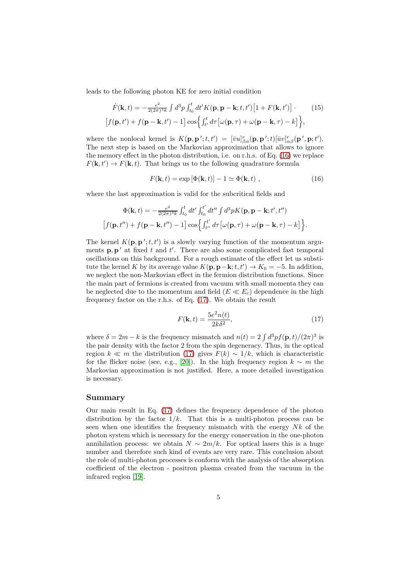leads to the following photon KE for zero initial condition

<span id="page-4-0"></span>
$$
\dot{F}(\mathbf{k},t) = -\frac{e^2}{2(2\pi)^3 k} \int d^3p \int_{t_0}^t dt' K(\mathbf{p}, \mathbf{p} - \mathbf{k}; t, t') \left[1 + F(\mathbf{k}, t')\right] \cdot \qquad (15)
$$

$$
\left[f(\mathbf{p}, t') + f(\mathbf{p} - \mathbf{k}, t') - 1\right] \cos\left\{\int_{t'}^t d\tau \left[\omega(\mathbf{p}, \tau) + \omega(\mathbf{p} - \mathbf{k}, \tau) - k\right]\right\},
$$

where the nonlocal kernel is  $K(\mathbf{p}, \mathbf{p}'; t, t') = [\bar{v}u]_{\beta\alpha}^r(\mathbf{p}, \mathbf{p}'; t)[\bar{u}v]_{\alpha\beta}^r(\mathbf{p}', \mathbf{p}; t').$ The next step is based on the Markovian approximation that allows to ignore the memory effect in the photon distribution, i.e. on r.h.s. of Eq. [\(16\)](#page-4-0) we replace  $F(\mathbf{k}, t') \to F(\mathbf{k}, t)$ . That brings us to the following quadrature formula

$$
F(\mathbf{k},t) = \exp\left[\Phi(\mathbf{k},t)\right] - 1 \simeq \Phi(\mathbf{k},t) , \qquad (16)
$$

where the last approximation is valid for the subcritical fields and

$$
\begin{split} \Phi(\mathbf{k},t)=-\tfrac{e^2}{2(2\pi)^3k}\int_{t_0}^t dt'\int_{t_0}^{t'}dt''\int d^3p K(\mathbf{p},\mathbf{p}-\mathbf{k};t',t'')\\ \big[f(\mathbf{p},t'')+f(\mathbf{p}-\mathbf{k},t'')-1\big]\cos\Bigl\{\int_{t''}^{t'}d\tau\bigl[\omega(\mathbf{p},\tau)+\omega(\mathbf{p}-\mathbf{k},\tau)-k\bigr]\Bigr\}. \end{split}
$$

The kernel  $K(\mathbf{p}, \mathbf{p}'; t, t')$  is a slowly varying function of the momentum arguments  $\mathbf{p}, \mathbf{p}'$  at fixed t and t'. There are also some complicated fast temporal oscillations on this background. For a rough estimate of the effect let us substitute the kernel K by its average value  $K(\mathbf{p}, \mathbf{p}-\mathbf{k}; t, t') \to K_0 = -5$ . In addition, we neglect the non-Markovian effect in the fermion distribution functions. Since the main part of fermions is created from vacuum with small momenta they can be neglected due to the momentum and field  $(E \ll E_c)$  dependence in the high frequency factor on the r.h.s. of Eq. [\(17\)](#page-4-1). We obtain the result

<span id="page-4-1"></span>
$$
F(\mathbf{k},t) = \frac{5e^2n(t)}{2k\delta^2},\tag{17}
$$

where  $\delta = 2m - k$  is the frequency mismatch and  $n(t) = 2 \int d^3p f(\mathbf{p}, t)/(2\pi)^3$  is the pair density with the factor 2 from the spin degeneracy. Thus, in the optical region  $k \ll m$  the distribution [\(17\)](#page-4-1) gives  $F(k) \sim 1/k$ , which is characteristic for the flicker noise (see, e.g., [\[20\]](#page-5-18)). In the high frequency region  $k \sim m$  the Markovian approximation is not justified. Here, a more detailed investigation is necessary.

#### Summary

Our main result in Eq. [\(17\)](#page-4-1) defines the frequency dependence of the photon distribution by the factor  $1/k$ . That this is a multi-photon process can be seen when one identifies the frequency mismatch with the energy  $Nk$  of the photon system which is necessary for the energy conservation in the one-photon annihilation process: we obtain  $N \sim 2m/k$ . For optical lasers this is a huge number and therefore such kind of events are very rare. This conclusion about the role of multi-photon processes is conform with the analysis of the absorption coefficient of the electron - positron plasma created from the vacuum in the infrared region [\[19\]](#page-5-19).